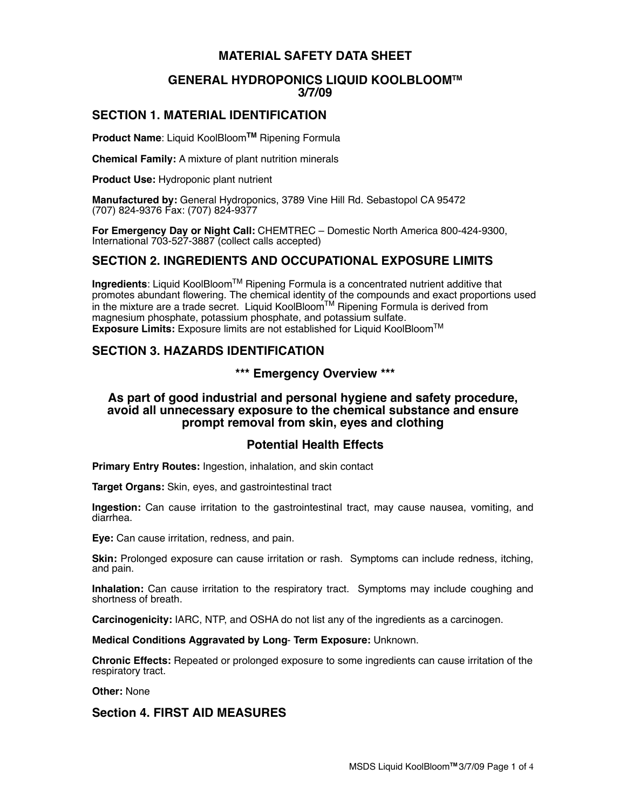# **MATERIAL SAFETY DATA SHEET**

### **GENERAL HYDROPONICS LIQUID KOOLBLOOMTM 3/7/09**

# **SECTION 1. MATERIAL IDENTIFICATION**

**Product Name**: Liquid KoolBloom**TM** Ripening Formula

**Chemical Family:** A mixture of plant nutrition minerals

**Product Use:** Hydroponic plant nutrient

**Manufactured by:** General Hydroponics, 3789 Vine Hill Rd. Sebastopol CA 95472 (707) 824-9376 Fax: (707) 824-9377

**For Emergency Day or Night Call:** CHEMTREC – Domestic North America 800-424-9300, International 703-527-3887 (collect calls accepted)

### **SECTION 2. INGREDIENTS AND OCCUPATIONAL EXPOSURE LIMITS**

**Ingredients**: Liquid KoolBloomTM Ripening Formula is a concentrated nutrient additive that promotes abundant flowering. The chemical identity of the compounds and exact proportions used in the mixture are a trade secret. Liquid KoolBloomTM Ripening Formula is derived from magnesium phosphate, potassium phosphate, and potassium sulfate. **Exposure Limits:** Exposure limits are not established for Liquid KoolBloomTM

# **SECTION 3. HAZARDS IDENTIFICATION**

**\*\*\* Emergency Overview \*\*\***

### **As part of good industrial and personal hygiene and safety procedure, avoid all unnecessary exposure to the chemical substance and ensure prompt removal from skin, eyes and clothing**

### **Potential Health Effects**

**Primary Entry Routes:** Ingestion, inhalation, and skin contact

**Target Organs:** Skin, eyes, and gastrointestinal tract

**Ingestion:** Can cause irritation to the gastrointestinal tract, may cause nausea, vomiting, and diarrhea.

**Eye:** Can cause irritation, redness, and pain.

**Skin:** Prolonged exposure can cause irritation or rash. Symptoms can include redness, itching, and pain.

**Inhalation:** Can cause irritation to the respiratory tract. Symptoms may include coughing and shortness of breath.

**Carcinogenicity:** IARC, NTP, and OSHA do not list any of the ingredients as a carcinogen.

**Medical Conditions Aggravated by Long**- **Term Exposure:** Unknown.

**Chronic Effects:** Repeated or prolonged exposure to some ingredients can cause irritation of the respiratory tract.

**Other:** None

### **Section 4. FIRST AID MEASURES**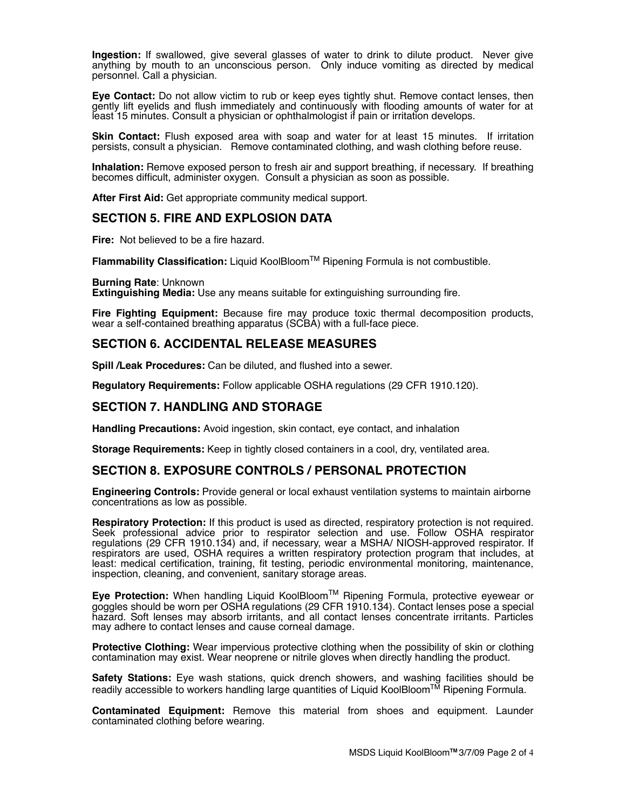**Ingestion:** If swallowed, give several glasses of water to drink to dilute product. Never give anything by mouth to an unconscious person.Only induce vomiting as directed by medical personnel. Call a physician.

**Eye Contact:** Do not allow victim to rub or keep eyes tightly shut. Remove contact lenses, then gently lift eyelids and flush immediately and continuously with flooding amounts of water for at least 15 minutes. Consult a physician or ophthalmologist if pain or irritation develops.

**Skin Contact:** Flush exposed area with soap and water for at least 15 minutes. If irritation persists, consult a physician. Remove contaminated clothing, and wash clothing before reuse.

**Inhalation:** Remove exposed person to fresh air and support breathing, if necessary. If breathing becomes difficult, administer oxygen. Consult a physician as soon as possible.

**After First Aid:** Get appropriate community medical support.

### **SECTION 5. FIRE AND EXPLOSION DATA**

**Fire:** Not believed to be a fire hazard.

**Flammability Classification:** Liquid KoolBloomTM Ripening Formula is not combustible.

**Burning Rate**: Unknown

**Extinguishing Media:** Use any means suitable for extinguishing surrounding fire.

**Fire Fighting Equipment:** Because fire may produce toxic thermal decomposition products, wear a self-contained breathing apparatus (SCBA) with a full-face piece.

#### **SECTION 6. ACCIDENTAL RELEASE MEASURES**

**Spill /Leak Procedures:** Can be diluted, and flushed into a sewer.

**Regulatory Requirements:** Follow applicable OSHA regulations (29 CFR 1910.120).

### **SECTION 7. HANDLING AND STORAGE**

**Handling Precautions:** Avoid ingestion, skin contact, eye contact, and inhalation

**Storage Requirements:** Keep in tightly closed containers in a cool, dry, ventilated area.

### **SECTION 8. EXPOSURE CONTROLS / PERSONAL PROTECTION**

**Engineering Controls:** Provide general or local exhaust ventilation systems to maintain airborne concentrations as low as possible.

**Respiratory Protection:** If this product is used as directed, respiratory protection is not required. Seek professional advice prior to respirator selection and use. Follow OSHA respirator regulations (29 CFR 1910.134) and, if necessary, wear a MSHA/ NIOSH-approved respirator. If respirators are used, OSHA requires a written respiratory protection program that includes, at least: medical certification, training, fit testing, periodic environmental monitoring, maintenance, inspection, cleaning, and convenient, sanitary storage areas.

**Eye Protection:** When handling Liquid KoolBloomTM Ripening Formula, protective eyewear or goggles should be worn per OSHA regulations (29 CFR 1910.134). Contact lenses pose a special hazard. Soft lenses may absorb irritants, and all contact lenses concentrate irritants. Particles may adhere to contact lenses and cause corneal damage.

**Protective Clothing:** Wear impervious protective clothing when the possibility of skin or clothing contamination may exist. Wear neoprene or nitrile gloves when directly handling the product.

**Safety Stations:** Eye wash stations, quick drench showers, and washing facilities should be readily accessible to workers handling large quantities of Liquid KoolBloom<sup>TM</sup> Ripening Formula.

**Contaminated Equipment:** Remove this material from shoes and equipment. Launder contaminated clothing before wearing.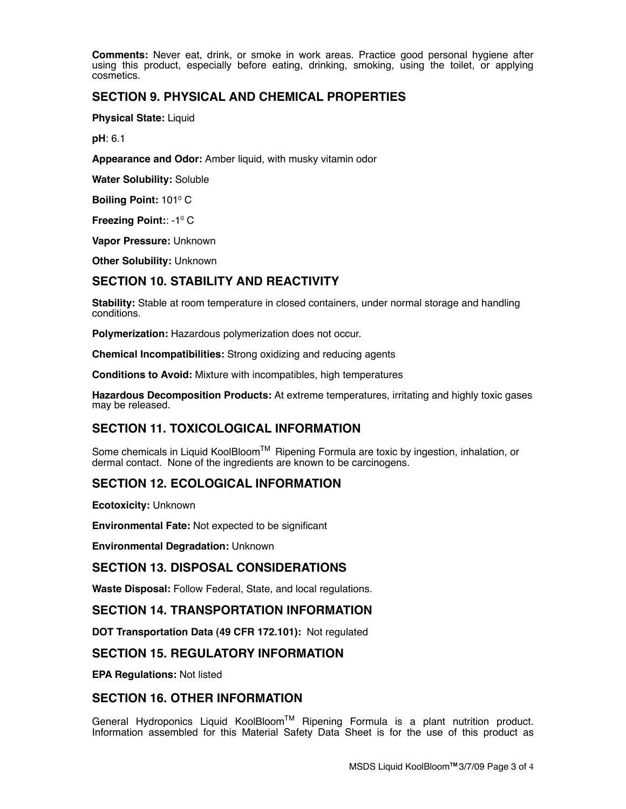**Comments:** Never eat, drink, or smoke in work areas. Practice good personal hygiene after using this product, especially before eating, drinking, smoking, using the toilet, or applying cosmetics.

# **SECTION 9. PHYSICAL AND CHEMICAL PROPERTIES**

**Physical State:** Liquid

**pH**: 6.1

**Appearance and Odor:** Amber liquid, with musky vitamin odor

**Water Solubility:** Soluble

**Boiling Point: 101º C** 

**Freezing Point:: -1º C** 

**Vapor Pressure:** Unknown

**Other Solubility:** Unknown

# **SECTION 10. STABILITY AND REACTIVITY**

**Stability:** Stable at room temperature in closed containers, under normal storage and handling conditions.

**Polymerization:** Hazardous polymerization does not occur.

**Chemical Incompatibilities:** Strong oxidizing and reducing agents

**Conditions to Avoid:** Mixture with incompatibles, high temperatures

**Hazardous Decomposition Products:** At extreme temperatures, irritating and highly toxic gases may be released.

# **SECTION 11. TOXICOLOGICAL INFORMATION**

Some chemicals in Liquid KoolBloom™ Ripening Formula are toxic by ingestion, inhalation, or dermal contact. None of the ingredients are known to be carcinogens.

### **SECTION 12. ECOLOGICAL INFORMATION**

**Ecotoxicity:** Unknown

**Environmental Fate:** Not expected to be significant

**Environmental Degradation:** Unknown

### **SECTION 13. DISPOSAL CONSIDERATIONS**

**Waste Disposal:** Follow Federal, State, and local regulations.

### **SECTION 14. TRANSPORTATION INFORMATION**

**DOT Transportation Data (49 CFR 172.101):** Not regulated

### **SECTION 15. REGULATORY INFORMATION**

**EPA Regulations:** Not listed

### **SECTION 16. OTHER INFORMATION**

General Hydroponics Liquid KoolBloom™ Ripening Formula is a plant nutrition product. Information assembled for this Material Safety Data Sheet is for the use of this product as